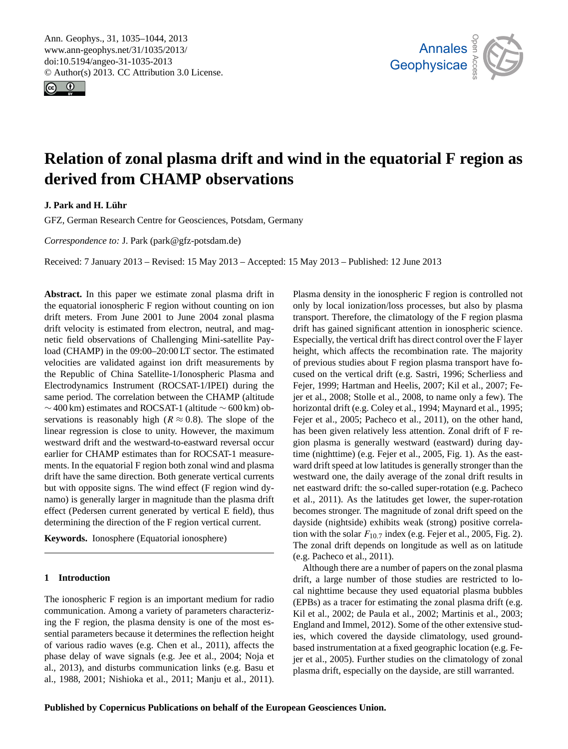<span id="page-0-0"></span>Ann. Geophys., 31, 1035–1044, 2013 www.ann-geophys.net/31/1035/2013/ doi:10.5194/angeo-31-1035-2013 © Author(s) 2013. CC Attribution 3.0 License.  $\epsilon$ 





# derived from CHAMP observations Relation of zonal plasma drift and wind in the equatorial F region as

**J. Park and H. Luhr ¨**

GFZ, German Research Centre for Geosciences, Potsdam, Germany

 $Correspondence to: J. Park (park@gfz-potsdam.de)$ 

Received: 7 January 2013 – Revised: 15 May 2013 – Accepted: 15 May 2013 – Published: 12 June 2013  $\mathbf{A}$ 

drift velocity is estimated from electron, neutral, and mag-Electrodynamics Instrument (ROCSAT-1/IPEI) during the same period. The correlation between the CHAMP (altitude  $\frac{400 \text{ km}}{2}$ ) extincts and POCS AT 1 (altitude  $\frac{600 \text{ km}}{2}$ ) extincts earlier for CHAMP estimates than for ROCSAT-1 measurements. In the equatorial F region both zonal wind and plasma effect (Pedersen current generated by vertical E field), thus determining the direction of the F region vertical current. d **Abstract.** In this paper we estimate zonal plasma drift in the equatorial ionospheric F region without counting on ion drift meters. From June 2001 to June 2004 zonal plasma netic field observations of Challenging Mini-satellite Payload (CHAMP) in the 09:00–20:00 LT sector. The estimated velocities are validated against ion drift measurements by the Republic of China Satellite-1/Ionospheric Plasma and  $\sim$  400 km) estimates and ROCSAT-1 (altitude  $\sim$  600 km) observations is reasonably high ( $R \approx 0.8$ ). The slope of the linear regression is close to unity. However, the maximum westward drift and the westward-to-eastward reversal occur drift have the same direction. Both generate vertical currents but with opposite signs. The wind effect (F region wind dynamo) is generally larger in magnitude than the plasma drift

 $\mathcal{A}$ **Keywords.** Ionosphere (Equatorial ionosphere)

## **1 Introduction**

 $G = \frac{1}{2}$ FILE FOROSPIETE P TEGION IS an important including for radio communication. Among a variety of parameters characteriz-of various radio waves (e.g. [Chen et al.,](#page-8-0) [2011\)](#page-8-0), affects the  $\mathbf{b}$  $\frac{1}{2013}$ , and disturbs communication links (e.g. [Basu et](#page-8-1) [al.,](#page-8-1) [1988,](#page-8-1) [2001;](#page-8-2) [Nishioka et al.,](#page-9-2) [2011;](#page-9-2) [Manju et al.,](#page-9-3) 2011). The ionospheric F region is an important medium for radio ing the F region, the plasma density is one of the most essential parameters because it determines the reflection height phase delay of wave signals (e.g. [Jee et al.,](#page-9-0) [2004;](#page-9-0) [Noja et](#page-9-1)

Plasma density in the ionospheric F region is controlled not nl<br>:aı<br><sup>!s</sup>i na<br>na<br>ce<br>/e1 transport. Therefore, the climatology of the F region plasma Especially, the vertical drift has direct control over the F layer us<br>'ej<br>or<br>or nc<br><sup>7</sup>e<br>)5 cused on the vertical drift (e.g. [Sastri,](#page-9-4) [1996;](#page-9-4) [Scherliess and](#page-9-5)<br>Exist 1999; Hartman and Harlie 2007; Kil at al. 2007; Es [jer et al.,](#page-8-3) [2008;](#page-8-3) [Stolle et al.,](#page-9-8) [2008,](#page-9-8) to name only a few). The get al., 2008, to hame only a few). horizontal drift (e.g. [Coley et al.,](#page-8-4) [1994;](#page-8-4) [Maynard et al.,](#page-9-9) [1995;](#page-9-9) io<br>m<br>va<br>ve uy<br>st<br>he<br>ir gion plasma is generally westward (eastward) during day- $\mu$ mic (inginume) (e.g. Fejer et al., 2005, Fig. 1). As the easi-<br>ward drift speed at low latitudes is generally stronger than the westward one, the daily average of the zonal drift results in <u>Data System</u>s ec<br>ay<br>h becomes stronger. The magnitude of zonal drift speed on the dayside (nightside) exhibits weak (strong) positive correlation with the solar  $F_{10.7}$  index (e.g. [Fejer et al.,](#page-8-5) 2005, Fig. 2). The zonal drift depends on longitude as well as on latitude<br> $\left(9.6 \right)$  Pachaco et al. 2011) he<br>la<br>2)<br>de only by local ionization/loss processes, but also by plasma drift has gained significant attention in ionospheric science. height, which affects the recombination rate. The majority of previous studies about F region plasma transport have fo-[Fejer,](#page-9-5) [1999;](#page-9-5) [Hartman and Heelis,](#page-9-6) [2007;](#page-9-6) [Kil et al.,](#page-9-7) [2007;](#page-9-7) [Fe-](#page-8-3)[Fejer et al.,](#page-8-5) [2005;](#page-8-5) [Pacheco et al.,](#page-9-10) [2011\)](#page-9-10), on the other hand, has been given relatively less attention. Zonal drift of F retime (nighttime) (e.g. [Fejer et al.,](#page-8-5) [2005,](#page-8-5) Fig. 1). As the eastnet eastward drift: the so-called super-rotation (e.g. [Pacheco](#page-9-10) [et al.,](#page-9-10) [2011\)](#page-9-10). As the latitudes get lower, the super-rotation (e.g. [Pacheco et al.,](#page-9-10) [2011\)](#page-9-10).

> Although there are a number of papers on the zonal plasma ri<br>al<br>Gl<br>Gl lo<br>les<br>.g<br>)3 drift, a large number of those studies are restricted to lo-The magnetic estates and search of equational plasma drift (e.g. [Kil et al.,](#page-9-11) [2002;](#page-8-6) [de Paula et al.,](#page-8-6) 2002; [Martinis et al.,](#page-9-12) [2003;](#page-9-12) as<br>er<br>la based instrumentation at a fixed geographic location (e.g. [Fe-](#page-8-5)for et al., [2005\)](#page-8-5). Further studies on the climatology of zonal<br>plasma drift, especially on the dayside, are still warranted <sup>c</sup>e<br>na cal nighttime because they used equatorial plasma bubbles [England and Immel,](#page-8-7) [2012\)](#page-8-7). Some of the other extensive studies, which covered the dayside climatology, used groundplasma drift, especially on the dayside, are still warranted.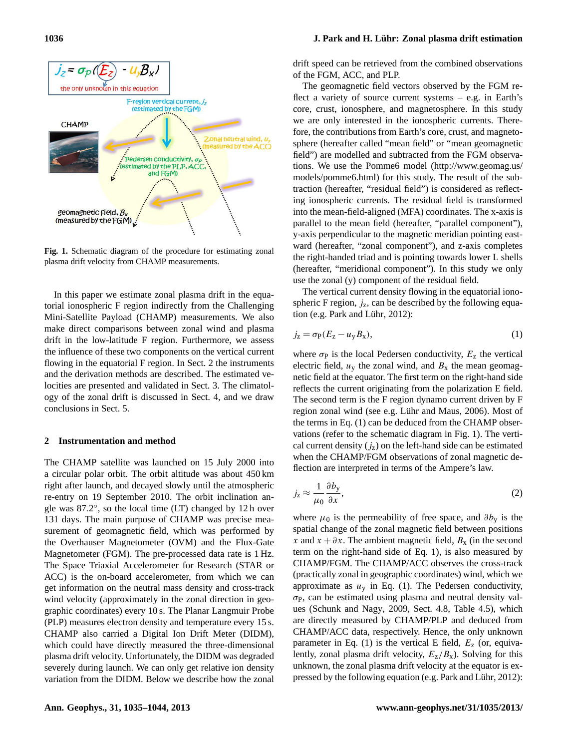

Fig. 1. Schematic diagram of the procedure for estimating zonal plasma drift velocity from CHAMP measure-Fig. 1. Schematic diagram of the procedure for estimating zonal plasma drift velocity from CHAMP measurements.

make direct comparisons between zonal wind and plasma In this paper we estimate zonal plasma drift in the equatorial ionospheric F region indirectly from the Challenging Mini-Satellite Payload (CHAMP) measurements. We also drift in the low-latitude F region. Furthermore, we assess the influence of these two components on the vertical current flowing in the equatorial F region. In Sect. 2 the instruments and the derivation methods are described. The estimated velocities are presented and validated in Sect. 3. The climatology of the zonal drift is discussed in Sect. 4, and we draw conclusions in Sect. 5.

## **2 Instrumentation and method**

The CHAMP satellite was launched on 15 July 2000 into a circular polar orbit. The orbit altitude was about 450 km right after launch, and decayed slowly until the atmospheric re-entry on 19 September 2010. The orbit inclination angle was 87.2°, so the local time (LT) changed by 12 h over 131 days. The main purpose of CHAMP was precise measurement of geomagnetic field, which was performed by the Overhauser Magnetometer (OVM) and the Flux-Gate Magnetometer (FGM). The pre-processed data rate is 1 Hz. The Space Triaxial Accelerometer for Research (STAR or ACC) is the on-board accelerometer, from which we can get information on the neutral mass density and cross-track wind velocity (approximately in the zonal direction in geographic coordinates) every 10 s. The Planar Langmuir Probe (PLP) measures electron density and temperature every 15 s. CHAMP also carried a Digital Ion Drift Meter (DIDM), which could have directly measured the three-dimensional plasma drift velocity. Unfortunately, the DIDM was degraded severely during launch. We can only get relative ion density variation from the DIDM. Below we describe how the zonal drift speed can be retrieved from the combined observations of the FGM, ACC, and PLP.

The geomagnetic field vectors observed by the FGM reflect a variety of source current systems – e.g. in Earth's core, crust, ionosphere, and magnetosphere. In this study we are only interested in the ionospheric currents. Therefore, the contributions from Earth's core, crust, and magnetosphere (hereafter called "mean field" or "mean geomagnetic field") are modelled and subtracted from the FGM observations. We use the Pomme6 model [\(http://www.geomag.us/](http://www.geomag.us/models/pomme6.html) [models/pomme6.html\)](http://www.geomag.us/models/pomme6.html) for this study. The result of the subtraction (hereafter, "residual field") is considered as reflecting ionospheric currents. The residual field is transformed into the mean-field-aligned (MFA) coordinates. The x-axis is parallel to the mean field (hereafter, "parallel component"), y-axis perpendicular to the magnetic meridian pointing eastward (hereafter, "zonal component"), and z-axis completes the right-handed triad and is pointing towards lower L shells (hereafter, "meridional component"). In this study we only use the zonal (y) component of the residual field.

The vertical current density flowing in the equatorial ionospheric F region,  $j_z$ , can be described by the following equation (e.g. Park and Lühr,  $2012$ ):

$$
j_{z} = \sigma_{P}(E_{z} - u_{y}B_{x}), \qquad (1)
$$

where  $\sigma_P$  is the local Pedersen conductivity,  $E_z$  the vertical electric field,  $u_y$  the zonal wind, and  $B_x$  the mean geomagnetic field at the equator. The first term on the right-hand side reflects the current originating from the polarization E field. The second term is the F region dynamo current driven by F region zonal wind (see e.g. Lühr and Maus, [2006\)](#page-9-14). Most of the terms in Eq. (1) can be deduced from the CHAMP observations (refer to the schematic diagram in Fig. 1). The vertical current density  $(j_z)$  on the left-hand side can be estimated when the CHAMP/FGM observations of zonal magnetic deflection are interpreted in terms of the Ampere's law.

$$
j_z \approx \frac{1}{\mu_0} \frac{\partial b_y}{\partial x},\tag{2}
$$

where  $\mu_0$  is the permeability of free space, and  $\partial b_y$  is the spatial change of the zonal magnetic field between positions x and  $x + \partial x$ . The ambient magnetic field,  $B_x$  (in the second term on the right-hand side of Eq. 1), is also measured by CHAMP/FGM. The CHAMP/ACC observes the cross-track (practically zonal in geographic coordinates) wind, which we approximate as  $u<sub>y</sub>$  in Eq. (1). The Pedersen conductivity,  $\sigma_{\rm P}$ , can be estimated using plasma and neutral density values [\(Schunk and Nagy,](#page-9-15) [2009,](#page-9-15) Sect. 4.8, Table 4.5), which are directly measured by CHAMP/PLP and deduced from CHAMP/ACC data, respectively. Hence, the only unknown parameter in Eq. (1) is the vertical E field,  $E_z$  (or, equivalently, zonal plasma drift velocity,  $E_z/B_x$ ). Solving for this unknown, the zonal plasma drift velocity at the equator is ex-pressed by the following equation (e.g. Park and Lühr, [2012\)](#page-9-13):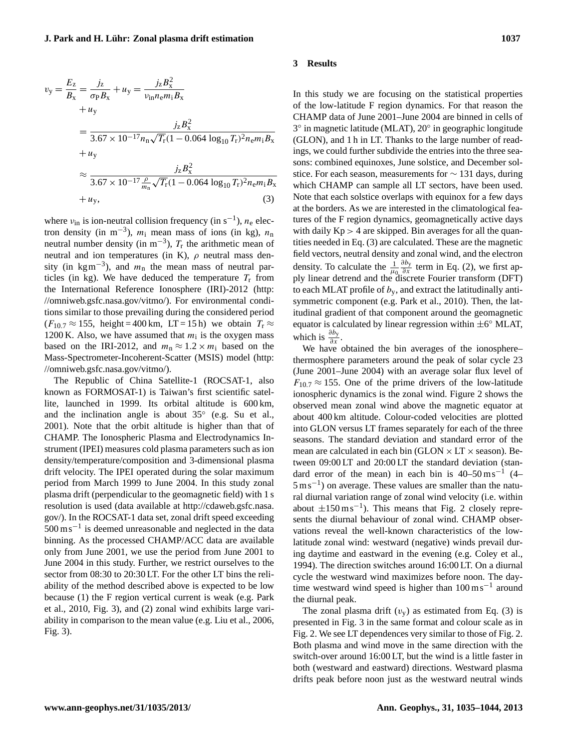$$
v_y = \frac{E_z}{B_x} = \frac{j_z}{\sigma_P B_x} + u_y = \frac{j_z B_x^2}{v_{\text{in}} n_{\text{e}} m_{\text{i}} B_x} + u_y = \frac{j_z B_x^2}{3.67 \times 10^{-17} n_{\text{n}} \sqrt{T_{\text{r}}}(1 - 0.064 \log_{10} T_{\text{r}})^2 n_{\text{e}} m_{\text{i}} B_x} + u_y \approx \frac{j_z B_x^2}{3.67 \times 10^{-17} \frac{\rho}{m_{\text{n}}} \sqrt{T_{\text{r}}}(1 - 0.064 \log_{10} T_{\text{r}})^2 n_{\text{e}} m_{\text{i}} B_x} + u_y,
$$
(3)

where  $v_{\text{in}}$  is ion-neutral collision frequency (in s<sup>-1</sup>),  $n_e$  electron density (in m<sup>-3</sup>),  $m<sub>i</sub>$  mean mass of ions (in kg),  $n<sub>n</sub>$ neutral number density (in  $m^{-3}$ ),  $T_r$  the arithmetic mean of neutral and ion temperatures (in K),  $\rho$  neutral mass density (in kgm<sup>-3</sup>), and  $m_n$  the mean mass of neutral particles (in kg). We have deduced the temperature  $T_r$  from the International Reference Ionosphere (IRI)-2012 [\(http:](http://omniweb.gsfc.nasa.gov/vitmo/) [//omniweb.gsfc.nasa.gov/vitmo/\)](http://omniweb.gsfc.nasa.gov/vitmo/). For environmental conditions similar to those prevailing during the considered period  $(F_{10.7} \approx 155$ , height = 400 km, LT = 15 h) we obtain  $T_r \approx$ 1200 K. Also, we have assumed that  $m_i$  is the oxygen mass based on the IRI-2012, and  $m_n \approx 1.2 \times m_i$  based on the Mass-Spectrometer-Incoherent-Scatter (MSIS) model [\(http:](http://omniweb.gsfc.nasa.gov/vitmo/) [//omniweb.gsfc.nasa.gov/vitmo/\)](http://omniweb.gsfc.nasa.gov/vitmo/).

The Republic of China Satellite-1 (ROCSAT-1, also known as FORMOSAT-1) is Taiwan's first scientific satellite, launched in 1999. Its orbital altitude is 600 km, and the inclination angle is about 35◦ (e.g. [Su et al.,](#page-9-16) [2001\)](#page-9-16). Note that the orbit altitude is higher than that of CHAMP. The Ionospheric Plasma and Electrodynamics Instrument (IPEI) measures cold plasma parameters such as ion density/temperature/composition and 3-dimensional plasma drift velocity. The IPEI operated during the solar maximum period from March 1999 to June 2004. In this study zonal plasma drift (perpendicular to the geomagnetic field) with 1 s resolution is used (data available at [http://cdaweb.gsfc.nasa.](http://cdaweb.gsfc.nasa.gov/) [gov/\)](http://cdaweb.gsfc.nasa.gov/). In the ROCSAT-1 data set, zonal drift speed exceeding 500 ms−<sup>1</sup> is deemed unreasonable and neglected in the data binning. As the processed CHAMP/ACC data are available only from June 2001, we use the period from June 2001 to June 2004 in this study. Further, we restrict ourselves to the sector from 08:30 to 20:30 LT. For the other LT bins the reliability of the method described above is expected to be low because (1) the F region vertical current is weak (e.g. [Park](#page-9-17) [et al.,](#page-9-17) [2010,](#page-9-17) Fig. 3), and (2) zonal wind exhibits large variability in comparison to the mean value (e.g. [Liu et al.,](#page-9-18) [2006,](#page-9-18) Fig. 3).

#### **3 Results**

In this study we are focusing on the statistical properties of the low-latitude F region dynamics. For that reason the CHAMP data of June 2001–June 2004 are binned in cells of 3 ◦ in magnetic latitude (MLAT), 20◦ in geographic longitude (GLON), and 1 h in LT. Thanks to the large number of readings, we could further subdivide the entries into the three seasons: combined equinoxes, June solstice, and December solstice. For each season, measurements for  $\sim$  131 days, during which CHAMP can sample all LT sectors, have been used. Note that each solstice overlaps with equinox for a few days at the borders. As we are interested in the climatological features of the F region dynamics, geomagnetically active days with daily  $Kp > 4$  are skipped. Bin averages for all the quantities needed in Eq. (3) are calculated. These are the magnetic field vectors, neutral density and zonal wind, and the electron density. To calculate the  $\frac{1}{\mu_0}$  $rac{\partial b_y}{\partial x}$  term in Eq. (2), we first apply linear detrend and the discrete Fourier transform (DFT) to each MLAT profile of  $b_y$ , and extract the latitudinally antisymmetric component (e.g. [Park et al.,](#page-9-17) [2010\)](#page-9-17). Then, the latitudinal gradient of that component around the geomagnetic equator is calculated by linear regression within  $\pm 6^{\circ}$  MLAT, which is  $\frac{\partial b_y}{\partial x}$ .

We have obtained the bin averages of the ionosphere– thermosphere parameters around the peak of solar cycle 23 (June 2001–June 2004) with an average solar flux level of  $F_{10.7} \approx 155$ . One of the prime drivers of the low-latitude ionospheric dynamics is the zonal wind. Figure 2 shows the observed mean zonal wind above the magnetic equator at about 400 km altitude. Colour-coded velocities are plotted into GLON versus LT frames separately for each of the three seasons. The standard deviation and standard error of the mean are calculated in each bin (GLON  $\times$  LT  $\times$  season). Between 09:00 LT and 20:00 LT the standard deviation (standard error of the mean) in each bin is  $40-50 \text{ ms}^{-1}$  (4–  $5 \text{ ms}^{-1}$ ) on average. These values are smaller than the natural diurnal variation range of zonal wind velocity (i.e. within about  $\pm 150 \,\mathrm{m\,s}^{-1}$ ). This means that Fig. 2 closely represents the diurnal behaviour of zonal wind. CHAMP observations reveal the well-known characteristics of the lowlatitude zonal wind: westward (negative) winds prevail during daytime and eastward in the evening (e.g. [Coley et al.,](#page-8-4) [1994\)](#page-8-4). The direction switches around 16:00 LT. On a diurnal cycle the westward wind maximizes before noon. The daytime westward wind speed is higher than 100 ms<sup>-1</sup> around the diurnal peak.

The zonal plasma drift  $(v_y)$  as estimated from Eq. (3) is presented in Fig. 3 in the same format and colour scale as in Fig. 2. We see LT dependences very similar to those of Fig. 2. Both plasma and wind move in the same direction with the switch-over around 16:00 LT, but the wind is a little faster in both (westward and eastward) directions. Westward plasma drifts peak before noon just as the westward neutral winds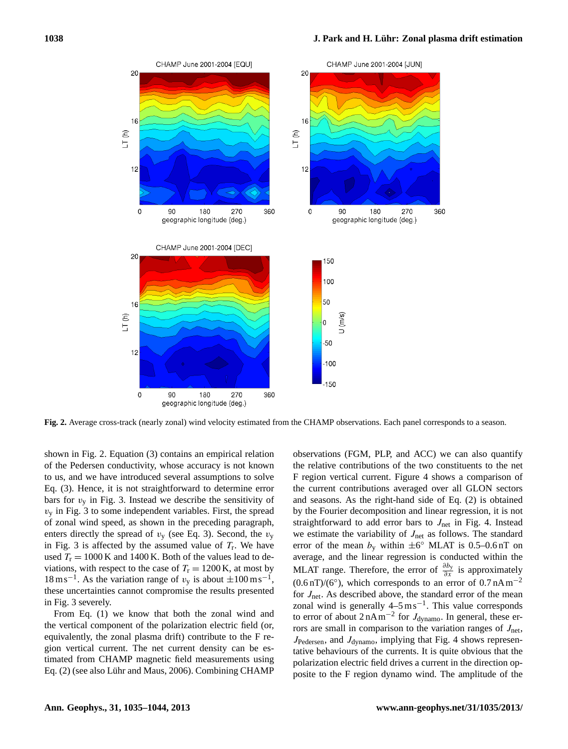

**Fig. 2.** Average cross-track (nearly zonal) wind velocity estimated from the CHAMP observations. Each panel corresponds to a season.

shown in Fig. 2. Equation (3) contains an empirical relation of the Pedersen conductivity, whose accuracy is not known to us, and we have introduced several assumptions to solve Eq. (3). Hence, it is not straightforward to determine error bars for  $v_y$  in Fig. 3. Instead we describe the sensitivity of  $v<sub>v</sub>$  in Fig. 3 to some independent variables. First, the spread of zonal wind speed, as shown in the preceding paragraph, enters directly the spread of  $v_y$  (see Eq. 3). Second, the  $v_y$ in Fig. 3 is affected by the assumed value of  $T_r$ . We have used  $T_r = 1000$  K and 1400 K. Both of the values lead to deviations, with respect to the case of  $T_r = 1200$  K, at most by  $18 \text{ ms}^{-1}$ . As the variation range of v<sub>y</sub> is about  $\pm 100 \text{ ms}^{-1}$ , these uncertainties cannot compromise the results presented in Fig. 3 severely.

From Eq. (1) we know that both the zonal wind and the vertical component of the polarization electric field (or, equivalently, the zonal plasma drift) contribute to the F region vertical current. The net current density can be estimated from CHAMP magnetic field measurements using Eq. (2) (see also Lühr and Maus, [2006\)](#page-9-14). Combining CHAMP

observations (FGM, PLP, and ACC) we can also quantify the relative contributions of the two constituents to the net F region vertical current. Figure 4 shows a comparison of the current contributions averaged over all GLON sectors and seasons. As the right-hand side of Eq. (2) is obtained by the Fourier decomposition and linear regression, it is not straightforward to add error bars to  $J_{\text{net}}$  in Fig. 4. Instead we estimate the variability of  $J_{\text{net}}$  as follows. The standard error of the mean  $b_y$  within  $\pm 6^{\circ}$  MLAT is 0.5–0.6 nT on average, and the linear regression is conducted within the MLAT range. Therefore, the error of  $\frac{\partial b_y}{\partial x}$  is approximately  $(0.6 \,\text{nT})/(6^\circ)$ , which corresponds to an error of 0.7 nAm<sup>-2</sup> for  $J_{\text{net}}$ . As described above, the standard error of the mean zonal wind is generally  $4-5 \text{ ms}^{-1}$ . This value corresponds to error of about  $2 \text{ nAm}^{-2}$  for  $J_{\text{dynamo}}$ . In general, these errors are small in comparison to the variation ranges of  $J_{\text{net}}$ ,  $J_{\text{Pedersen}}$ , and  $J_{\text{dynamic}}$ , implying that Fig. 4 shows representative behaviours of the currents. It is quite obvious that the polarization electric field drives a current in the direction opposite to the F region dynamo wind. The amplitude of the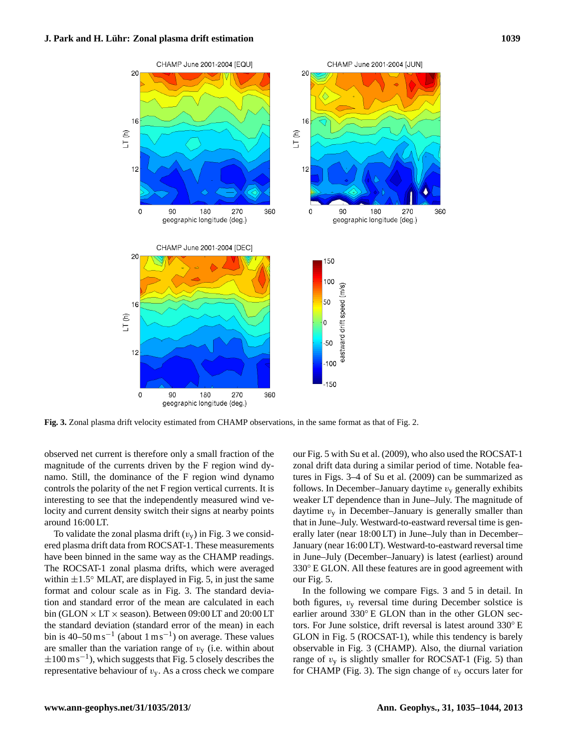

**Fig. 3.** Zonal plasma drift velocity estimated from CHAMP observations, in the same format as that of Fig. 2.

observed net current is therefore only a small fraction of the magnitude of the currents driven by the F region wind dynamo. Still, the dominance of the F region wind dynamo controls the polarity of the net F region vertical currents. It is interesting to see that the independently measured wind velocity and current density switch their signs at nearby points around 16:00 LT.

To validate the zonal plasma drift  $(v<sub>v</sub>)$  in Fig. 3 we considered plasma drift data from ROCSAT-1. These measurements have been binned in the same way as the CHAMP readings. The ROCSAT-1 zonal plasma drifts, which were averaged within  $\pm 1.5^\circ$  MLAT, are displayed in Fig. 5, in just the same format and colour scale as in Fig. 3. The standard deviation and standard error of the mean are calculated in each bin (GLON  $\times$  LT  $\times$  season). Between 09:00 LT and 20:00 LT the standard deviation (standard error of the mean) in each bin is  $40-50 \text{ ms}^{-1}$  (about  $1 \text{ ms}^{-1}$ ) on average. These values are smaller than the variation range of  $v_y$  (i.e. within about ±100 ms−<sup>1</sup> ), which suggests that Fig. 5 closely describes the representative behaviour of  $v_y$ . As a cross check we compare our Fig. 5 with [Su et al.](#page-9-19) [\(2009\)](#page-9-19), who also used the ROCSAT-1 zonal drift data during a similar period of time. Notable features in Figs. 3–4 of [Su et al.](#page-9-19) [\(2009\)](#page-9-19) can be summarized as follows. In December–January daytime  $v_y$  generally exhibits weaker LT dependence than in June–July. The magnitude of daytime  $v_y$  in December–January is generally smaller than that in June–July. Westward-to-eastward reversal time is generally later (near 18:00 LT) in June–July than in December– January (near 16:00 LT). Westward-to-eastward reversal time in June–July (December–January) is latest (earliest) around 330◦ E GLON. All these features are in good agreement with our Fig. 5.

In the following we compare Figs. 3 and 5 in detail. In both figures,  $v_y$  reversal time during December solstice is earlier around 330° E GLON than in the other GLON sectors. For June solstice, drift reversal is latest around 330◦ E GLON in Fig. 5 (ROCSAT-1), while this tendency is barely observable in Fig. 3 (CHAMP). Also, the diurnal variation range of  $v_y$  is slightly smaller for ROCSAT-1 (Fig. 5) than for CHAMP (Fig. 3). The sign change of  $v_y$  occurs later for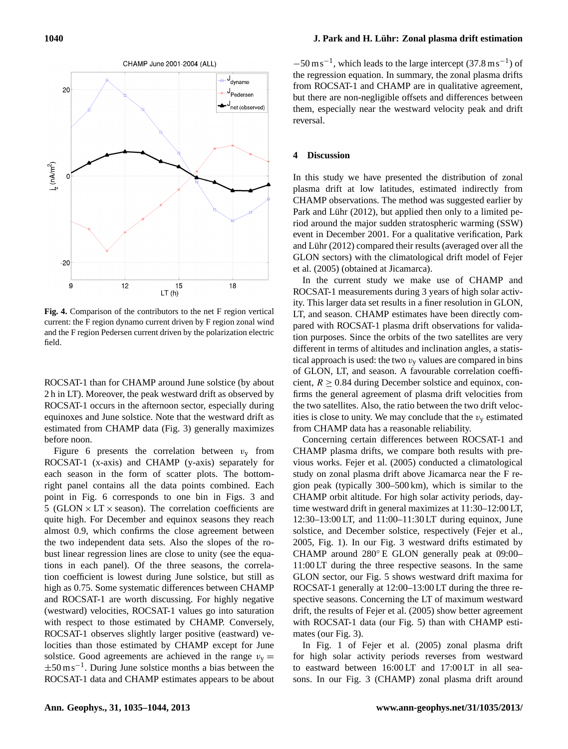

**Fig. 4.** Comparison of the contributors to the net F region vertical current: the F region dynamo current driven by F region zonal wind and the F region Pedersen current driven by the polarization electric field.

ROCSAT-1 than for CHAMP around June solstice (by about 2 h in LT). Moreover, the peak westward drift as observed by ROCSAT-1 occurs in the afternoon sector, especially during equinoxes and June solstice. Note that the westward drift as estimated from CHAMP data (Fig. 3) generally maximizes before noon.

Figure 6 presents the correlation between  $v_y$  from ROCSAT-1 (x-axis) and CHAMP (y-axis) separately for each season in the form of scatter plots. The bottomright panel contains all the data points combined. Each point in Fig. 6 corresponds to one bin in Figs. 3 and 5 (GLON  $\times$  LT  $\times$  season). The correlation coefficients are quite high. For December and equinox seasons they reach almost 0.9, which confirms the close agreement between the two independent data sets. Also the slopes of the robust linear regression lines are close to unity (see the equations in each panel). Of the three seasons, the correlation coefficient is lowest during June solstice, but still as high as 0.75. Some systematic differences between CHAMP and ROCSAT-1 are worth discussing. For highly negative (westward) velocities, ROCSAT-1 values go into saturation with respect to those estimated by CHAMP. Conversely, ROCSAT-1 observes slightly larger positive (eastward) velocities than those estimated by CHAMP except for June solstice. Good agreements are achieved in the range  $v_y =$ ±50 ms−<sup>1</sup> . During June solstice months a bias between the ROCSAT-1 data and CHAMP estimates appears to be about

 $-50 \,\mathrm{m}\,\mathrm{s}^{-1}$ , which leads to the large intercept (37.8 m s<sup>-1</sup>) of the regression equation. In summary, the zonal plasma drifts from ROCSAT-1 and CHAMP are in qualitative agreement, but there are non-negligible offsets and differences between them, especially near the westward velocity peak and drift reversal.

#### **4 Discussion**

In this study we have presented the distribution of zonal plasma drift at low latitudes, estimated indirectly from CHAMP observations. The method was suggested earlier by Park and Lühr [\(2012\)](#page-9-13), but applied then only to a limited period around the major sudden stratospheric warming (SSW) event in December 2001. For a qualitative verification, [Park](#page-9-13) and Lühr  $(2012)$  compared their results (averaged over all the GLON sectors) with the climatological drift model of [Fejer](#page-8-5) [et al.](#page-8-5) [\(2005\)](#page-8-5) (obtained at Jicamarca).

In the current study we make use of CHAMP and ROCSAT-1 measurements during 3 years of high solar activity. This larger data set results in a finer resolution in GLON, LT, and season. CHAMP estimates have been directly compared with ROCSAT-1 plasma drift observations for validation purposes. Since the orbits of the two satellites are very different in terms of altitudes and inclination angles, a statistical approach is used: the two  $v_y$  values are compared in bins of GLON, LT, and season. A favourable correlation coefficient,  $R \geq 0.84$  during December solstice and equinox, confirms the general agreement of plasma drift velocities from the two satellites. Also, the ratio between the two drift velocities is close to unity. We may conclude that the  $v_y$  estimated from CHAMP data has a reasonable reliability.

Concerning certain differences between ROCSAT-1 and CHAMP plasma drifts, we compare both results with previous works. [Fejer et al.](#page-8-5) [\(2005\)](#page-8-5) conducted a climatological study on zonal plasma drift above Jicamarca near the F region peak (typically 300–500 km), which is similar to the CHAMP orbit altitude. For high solar activity periods, daytime westward drift in general maximizes at 11:30–12:00 LT, 12:30–13:00 LT, and 11:00–11:30 LT during equinox, June solstice, and December solstice, respectively [\(Fejer et al.,](#page-8-5) [2005,](#page-8-5) Fig. 1). In our Fig. 3 westward drifts estimated by CHAMP around  $280^\circ$  E GLON generally peak at 09:00– 11:00 LT during the three respective seasons. In the same GLON sector, our Fig. 5 shows westward drift maxima for ROCSAT-1 generally at 12:00–13:00 LT during the three respective seasons. Concerning the LT of maximum westward drift, the results of [Fejer et al.](#page-8-5) [\(2005\)](#page-8-5) show better agreement with ROCSAT-1 data (our Fig. 5) than with CHAMP estimates (our Fig. 3).

In Fig. 1 of [Fejer et al.](#page-8-5) [\(2005\)](#page-8-5) zonal plasma drift for high solar activity periods reverses from westward to eastward between 16:00 LT and 17:00 LT in all seasons. In our Fig. 3 (CHAMP) zonal plasma drift around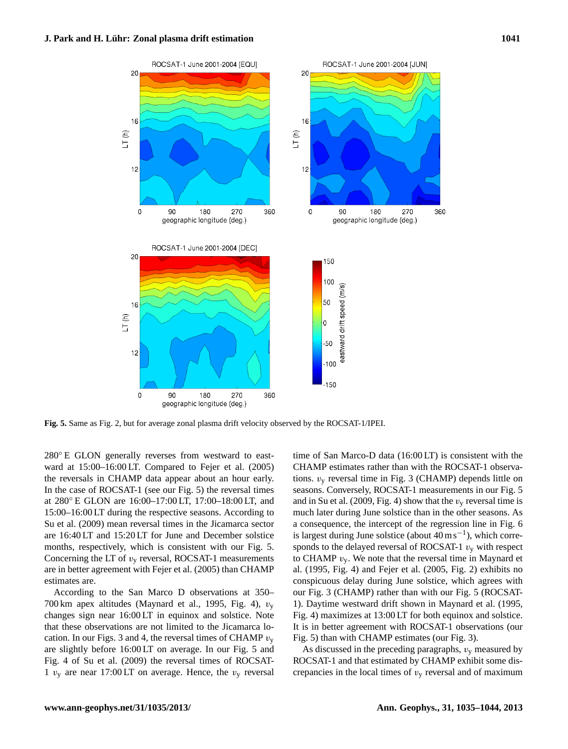

**Fig. 5.** Same as Fig. 2, but for average zonal plasma drift velocity observed by the ROCSAT-1/IPEI.

280° E GLON generally reverses from westward to eastward at 15:00–16:00 LT. Compared to [Fejer et al.](#page-8-5) [\(2005\)](#page-8-5) the reversals in CHAMP data appear about an hour early. In the case of ROCSAT-1 (see our Fig. 5) the reversal times at 280◦ E GLON are 16:00–17:00 LT, 17:00–18:00 LT, and 15:00–16:00 LT during the respective seasons. According to [Su et al.](#page-9-19) [\(2009\)](#page-9-19) mean reversal times in the Jicamarca sector are 16:40 LT and 15:20 LT for June and December solstice months, respectively, which is consistent with our Fig. 5. Concerning the LT of  $v_y$  reversal, ROCSAT-1 measurements are in better agreement with [Fejer et al.](#page-8-5) [\(2005\)](#page-8-5) than CHAMP estimates are.

According to the San Marco D observations at 350– 700 km apex altitudes [\(Maynard et al.,](#page-9-9) [1995,](#page-9-9) Fig. 4),  $v_y$ changes sign near 16:00 LT in equinox and solstice. Note that these observations are not limited to the Jicamarca location. In our Figs. 3 and 4, the reversal times of CHAMP  $v_y$ are slightly before 16:00 LT on average. In our Fig. 5 and Fig. 4 of [Su et al.](#page-9-19) [\(2009\)](#page-9-19) the reversal times of ROCSAT-1  $v_y$  are near 17:00 LT on average. Hence, the  $v_y$  reversal time of San Marco-D data (16:00 LT) is consistent with the CHAMP estimates rather than with the ROCSAT-1 observations.  $v_v$  reversal time in Fig. 3 (CHAMP) depends little on seasons. Conversely, ROCSAT-1 measurements in our Fig. 5 and in [Su et al.](#page-9-19) [\(2009,](#page-9-19) Fig. 4) show that the  $v_y$  reversal time is much later during June solstice than in the other seasons. As a consequence, the intercept of the regression line in Fig. 6 is largest during June solstice (about 40 ms−<sup>1</sup> ), which corresponds to the delayed reversal of ROCSAT-1  $v_y$  with respect to CHAMP  $v_y$ . We note that the reversal time in [Maynard et](#page-9-9) [al.](#page-9-9) [\(1995,](#page-9-9) Fig. 4) and [Fejer et al.](#page-8-5) [\(2005,](#page-8-5) Fig. 2) exhibits no conspicuous delay during June solstice, which agrees with our Fig. 3 (CHAMP) rather than with our Fig. 5 (ROCSAT-1). Daytime westward drift shown in [Maynard et al.](#page-9-9) [\(1995,](#page-9-9) Fig. 4) maximizes at 13:00 LT for both equinox and solstice. It is in better agreement with ROCSAT-1 observations (our Fig. 5) than with CHAMP estimates (our Fig. 3).

As discussed in the preceding paragraphs,  $v_y$  measured by ROCSAT-1 and that estimated by CHAMP exhibit some discrepancies in the local times of  $v_y$  reversal and of maximum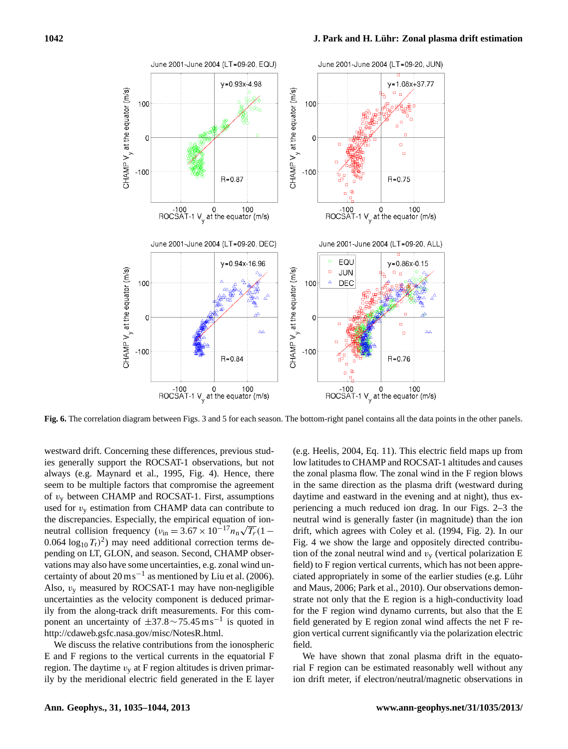

**Fig. 6.** The correlation diagram between Figs. 3 and 5 for each season. The bottom-right panel contains all the data points in the other panels.

westward drift. Concerning these differences, previous studies generally support the ROCSAT-1 observations, but not always (e.g. [Maynard et al.,](#page-9-9) [1995,](#page-9-9) Fig. 4). Hence, there seem to be multiple factors that compromise the agreement of  $v_y$  between CHAMP and ROCSAT-1. First, assumptions used for  $v_y$  estimation from CHAMP data can contribute to the discrepancies. Especially, the empirical equation of ionneutral collision frequency  $(v_{\text{in}} = 3.67 \times 10^{-17} n_{\text{n}} \sqrt{T_r} (1 -$ 0.064  $\log_{10} T_{\rm r}$ )<sup>2</sup>) may need additional correction terms depending on LT, GLON, and season. Second, CHAMP observations may also have some uncertainties, e.g. zonal wind uncertainty of about  $20 \text{ m s}^{-1}$  as mentioned by [Liu et al.](#page-9-18) [\(2006\)](#page-9-18). Also,  $v_y$  measured by ROCSAT-1 may have non-negligible uncertainties as the velocity component is deduced primarily from the along-track drift measurements. For this component an uncertainty of  $\pm$ 37.8∼75.45 ms<sup>-1</sup> is quoted in [http://cdaweb.gsfc.nasa.gov/misc/NotesR.html.](http://cdaweb.gsfc.nasa.gov/misc/NotesR.html)

We discuss the relative contributions from the ionospheric E and F regions to the vertical currents in the equatorial F region. The daytime  $v_y$  at F region altitudes is driven primarily by the meridional electric field generated in the E layer (e.g. [Heelis,](#page-9-20) [2004,](#page-9-20) Eq. 11). This electric field maps up from low latitudes to CHAMP and ROCSAT-1 altitudes and causes the zonal plasma flow. The zonal wind in the F region blows in the same direction as the plasma drift (westward during daytime and eastward in the evening and at night), thus experiencing a much reduced ion drag. In our Figs. 2–3 the neutral wind is generally faster (in magnitude) than the ion drift, which agrees with [Coley et al.](#page-8-4) [\(1994,](#page-8-4) Fig. 2). In our Fig. 4 we show the large and oppositely directed contribution of the zonal neutral wind and  $v_y$  (vertical polarization E field) to F region vertical currents, which has not been appreciated appropriately in some of the earlier studies (e.g. Lühr [and Maus,](#page-9-14) [2006;](#page-9-14) [Park et al.,](#page-9-17) [2010\)](#page-9-17). Our observations demonstrate not only that the E region is a high-conductivity load for the F region wind dynamo currents, but also that the E field generated by E region zonal wind affects the net F region vertical current significantly via the polarization electric field.

We have shown that zonal plasma drift in the equatorial F region can be estimated reasonably well without any ion drift meter, if electron/neutral/magnetic observations in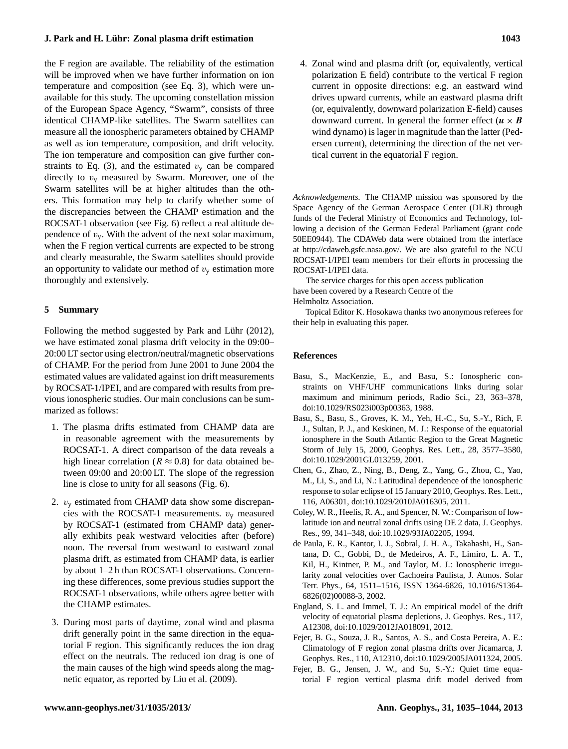# **J. Park and H. Luhr: Zonal plasma drift estimation 1043 ¨**

the F region are available. The reliability of the estimation will be improved when we have further information on ion temperature and composition (see Eq. 3), which were unavailable for this study. The upcoming constellation mission of the European Space Agency, "Swarm", consists of three identical CHAMP-like satellites. The Swarm satellites can measure all the ionospheric parameters obtained by CHAMP as well as ion temperature, composition, and drift velocity. The ion temperature and composition can give further constraints to Eq. (3), and the estimated  $v_y$  can be compared directly to  $v_y$  measured by Swarm. Moreover, one of the Swarm satellites will be at higher altitudes than the others. This formation may help to clarify whether some of the discrepancies between the CHAMP estimation and the ROCSAT-1 observation (see Fig. 6) reflect a real altitude dependence of  $v_y$ . With the advent of the next solar maximum, when the F region vertical currents are expected to be strong and clearly measurable, the Swarm satellites should provide an opportunity to validate our method of  $v_y$  estimation more thoroughly and extensively.

## **5 Summary**

Following the method suggested by Park and Lühr [\(2012\)](#page-9-13), we have estimated zonal plasma drift velocity in the 09:00– 20:00 LT sector using electron/neutral/magnetic observations of CHAMP. For the period from June 2001 to June 2004 the estimated values are validated against ion drift measurements by ROCSAT-1/IPEI, and are compared with results from previous ionospheric studies. Our main conclusions can be summarized as follows:

- 1. The plasma drifts estimated from CHAMP data are in reasonable agreement with the measurements by ROCSAT-1. A direct comparison of the data reveals a high linear correlation ( $R \approx 0.8$ ) for data obtained between 09:00 and 20:00 LT. The slope of the regression line is close to unity for all seasons (Fig. 6).
- 2.  $v_y$  estimated from CHAMP data show some discrepancies with the ROCSAT-1 measurements.  $v_y$  measured by ROCSAT-1 (estimated from CHAMP data) generally exhibits peak westward velocities after (before) noon. The reversal from westward to eastward zonal plasma drift, as estimated from CHAMP data, is earlier by about 1–2 h than ROCSAT-1 observations. Concerning these differences, some previous studies support the ROCSAT-1 observations, while others agree better with the CHAMP estimates.
- 3. During most parts of daytime, zonal wind and plasma drift generally point in the same direction in the equatorial F region. This significantly reduces the ion drag effect on the neutrals. The reduced ion drag is one of the main causes of the high wind speeds along the magnetic equator, as reported by [Liu et al.](#page-9-21) [\(2009\)](#page-9-21).

4. Zonal wind and plasma drift (or, equivalently, vertical polarization E field) contribute to the vertical F region current in opposite directions: e.g. an eastward wind drives upward currents, while an eastward plasma drift (or, equivalently, downward polarization E-field) causes downward current. In general the former effect  $(\boldsymbol{u} \times \boldsymbol{B})$ wind dynamo) is lager in magnitude than the latter (Pedersen current), determining the direction of the net vertical current in the equatorial F region.

*Acknowledgements.* The CHAMP mission was sponsored by the Space Agency of the German Aerospace Center (DLR) through funds of the Federal Ministry of Economics and Technology, following a decision of the German Federal Parliament (grant code 50EE0944). The CDAWeb data were obtained from the interface at [http://cdaweb.gsfc.nasa.gov/.](http://cdaweb.gsfc.nasa.gov/) We are also grateful to the NCU ROCSAT-1/IPEI team members for their efforts in processing the ROCSAT-1/IPEI data.

The service charges for this open access publication have been covered by a Research Centre of the

Helmholtz Association.

Topical Editor K. Hosokawa thanks two anonymous referees for their help in evaluating this paper.

#### **References**

- <span id="page-8-1"></span>Basu, S., MacKenzie, E., and Basu, S.: Ionospheric constraints on VHF/UHF communications links during solar maximum and minimum periods, Radio Sci., 23, 363–378, doi[:10.1029/RS023i003p00363,](http://dx.doi.org/10.1029/RS023i003p00363) 1988.
- <span id="page-8-2"></span>Basu, S., Basu, S., Groves, K. M., Yeh, H.-C., Su, S.-Y., Rich, F. J., Sultan, P. J., and Keskinen, M. J.: Response of the equatorial ionosphere in the South Atlantic Region to the Great Magnetic Storm of July 15, 2000, Geophys. Res. Lett., 28, 3577–3580, doi[:10.1029/2001GL013259,](http://dx.doi.org/10.1029/2001GL013259) 2001.
- <span id="page-8-0"></span>Chen, G., Zhao, Z., Ning, B., Deng, Z., Yang, G., Zhou, C., Yao, M., Li, S., and Li, N.: Latitudinal dependence of the ionospheric response to solar eclipse of 15 January 2010, Geophys. Res. Lett., 116, A06301, doi[:10.1029/2010JA016305,](http://dx.doi.org/10.1029/2010JA016305) 2011.
- <span id="page-8-4"></span>Coley, W. R., Heelis, R. A., and Spencer, N. W.: Comparison of lowlatitude ion and neutral zonal drifts using DE 2 data, J. Geophys. Res., 99, 341–348, doi[:10.1029/93JA02205,](http://dx.doi.org/10.1029/93JA02205) 1994.
- <span id="page-8-6"></span>de Paula, E. R., Kantor, I. J., Sobral, J. H. A., Takahashi, H., Santana, D. C., Gobbi, D., de Medeiros, A. F., Limiro, L. A. T., Kil, H., Kintner, P. M., and Taylor, M. J.: Ionospheric irregularity zonal velocities over Cachoeira Paulista, J. Atmos. Solar Terr. Phys., 64, 1511–1516, ISSN 1364-6826, 10.1016/S1364- 6826(02)00088-3, 2002.
- <span id="page-8-7"></span>England, S. L. and Immel, T. J.: An empirical model of the drift velocity of equatorial plasma depletions, J. Geophys. Res., 117, A12308, doi[:10.1029/2012JA018091,](http://dx.doi.org/10.1029/2012JA018091) 2012.
- <span id="page-8-5"></span>Fejer, B. G., Souza, J. R., Santos, A. S., and Costa Pereira, A. E.: Climatology of F region zonal plasma drifts over Jicamarca, J. Geophys. Res., 110, A12310, doi[:10.1029/2005JA011324,](http://dx.doi.org/10.1029/2005JA011324) 2005.
- <span id="page-8-3"></span>Fejer, B. G., Jensen, J. W., and Su, S.-Y.: Quiet time equatorial F region vertical plasma drift model derived from